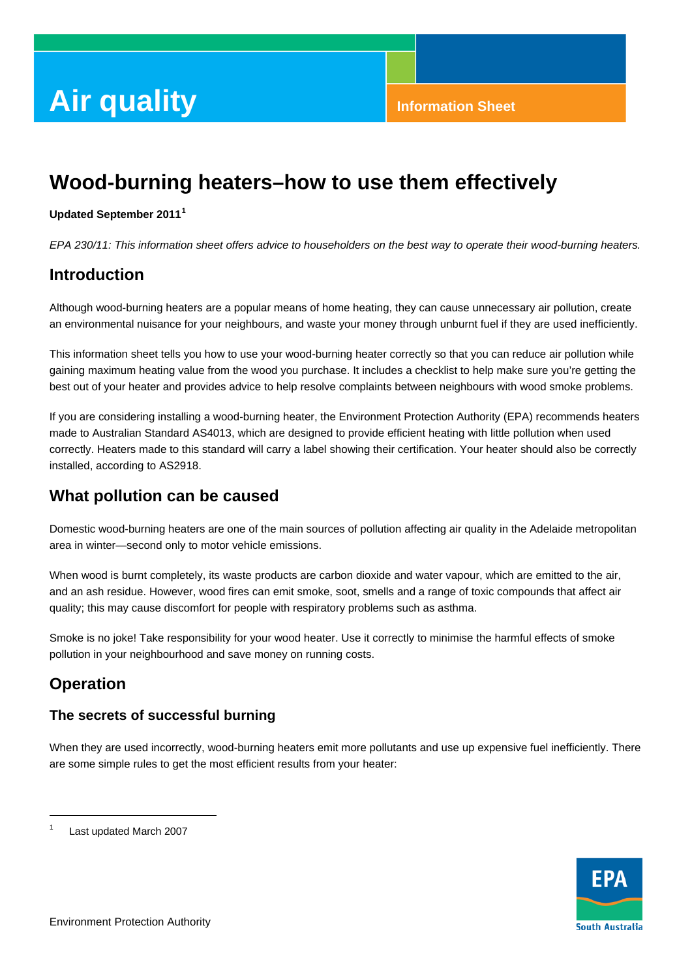# **Air quality Information Sheet**

## **Wood-burning heaters–how to use them effectively**

#### **Updated September 2011[1](#page-0-0)**

*EPA 230/11: This information sheet offers advice to householders on the best way to operate their wood-burning heaters.* 

## **Introduction**

Although wood-burning heaters are a popular means of home heating, they can cause unnecessary air pollution, create an environmental nuisance for your neighbours, and waste your money through unburnt fuel if they are used inefficiently.

This information sheet tells you how to use your wood-burning heater correctly so that you can reduce air pollution while gaining maximum heating value from the wood you purchase. It includes a checklist to help make sure you're getting the best out of your heater and provides advice to help resolve complaints between neighbours with wood smoke problems.

If you are considering installing a wood-burning heater, the Environment Protection Authority (EPA) recommends heaters made to Australian Standard AS4013, which are designed to provide efficient heating with little pollution when used correctly. Heaters made to this standard will carry a label showing their certification. Your heater should also be correctly installed, according to AS2918.

## **What pollution can be caused**

Domestic wood-burning heaters are one of the main sources of pollution affecting air quality in the Adelaide metropolitan area in winter—second only to motor vehicle emissions.

When wood is burnt completely, its waste products are carbon dioxide and water vapour, which are emitted to the air, and an ash residue. However, wood fires can emit smoke, soot, smells and a range of toxic compounds that affect air quality; this may cause discomfort for people with respiratory problems such as asthma.

Smoke is no joke! Take responsibility for your wood heater. Use it correctly to minimise the harmful effects of smoke pollution in your neighbourhood and save money on running costs.

## **Operation**

l

#### **The secrets of successful burning**

When they are used incorrectly, wood-burning heaters emit more pollutants and use up expensive fuel inefficiently. There are some simple rules to get the most efficient results from your heater:

<span id="page-0-0"></span>1 Last updated March 2007

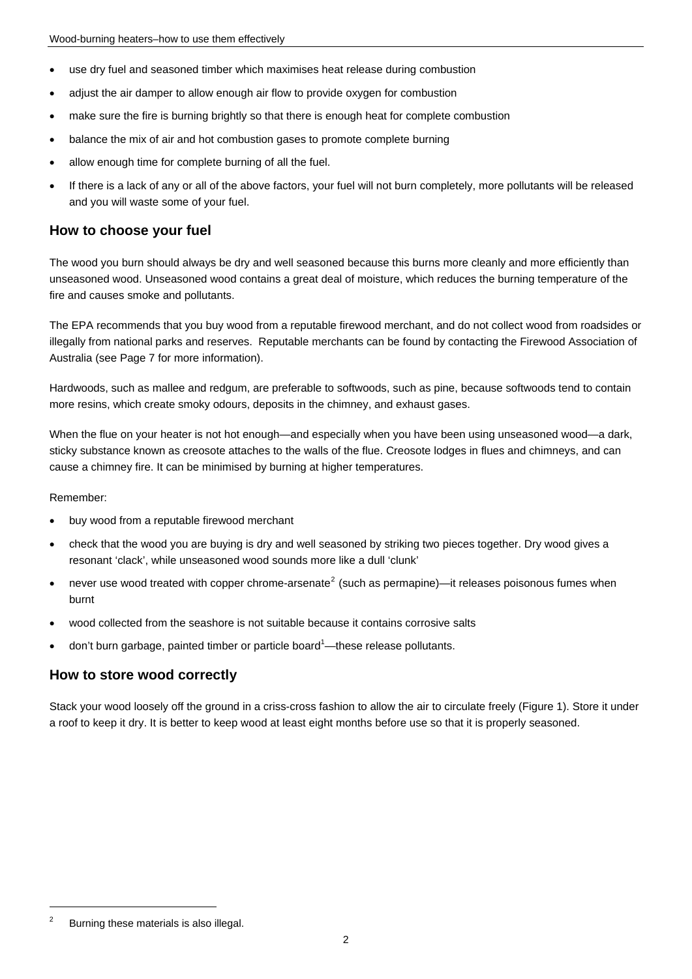- use dry fuel and seasoned timber which maximises heat release during combustion
- adjust the air damper to allow enough air flow to provide oxygen for combustion
- make sure the fire is burning brightly so that there is enough heat for complete combustion
- balance the mix of air and hot combustion gases to promote complete burning
- allow enough time for complete burning of all the fuel.
- If there is a lack of any or all of the above factors, your fuel will not burn completely, more pollutants will be released and you will waste some of your fuel.

#### **How to choose your fuel**

The wood you burn should always be dry and well seasoned because this burns more cleanly and more efficiently than unseasoned wood. Unseasoned wood contains a great deal of moisture, which reduces the burning temperature of the fire and causes smoke and pollutants.

The EPA recommends that you buy wood from a reputable firewood merchant, and do not collect wood from roadsides or illegally from national parks and reserves. Reputable merchants can be found by contacting the Firewood Association of Australia (see Page 7 for more information).

Hardwoods, such as mallee and redgum, are preferable to softwoods, such as pine, because softwoods tend to contain more resins, which create smoky odours, deposits in the chimney, and exhaust gases.

When the flue on your heater is not hot enough—and especially when you have been using unseasoned wood—a dark, sticky substance known as creosote attaches to the walls of the flue. Creosote lodges in flues and chimneys, and can cause a chimney fire. It can be minimised by burning at higher temperatures.

#### Remember:

- buy wood from a reputable firewood merchant
- check that the wood you are buying is dry and well seasoned by striking two pieces together. Dry wood gives a resonant 'clack', while unseasoned wood sounds more like a dull 'clunk'
- never use wood treated with copper chrome-arsenate<sup>[2](#page-1-0)</sup> (such as permapine)—it releases poisonous fumes when burnt
- wood collected from the seashore is not suitable because it contains corrosive salts
- $\bullet$  don't burn garbage, painted timber or particle board<sup>1</sup>—these release pollutants.

#### **How to store wood correctly**

Stack your wood loosely off the ground in a criss-cross fashion to allow the air to circulate freely (Figure 1). Store it under a roof to keep it dry. It is better to keep wood at least eight months before use so that it is properly seasoned.

 $\overline{a}$ 

<span id="page-1-0"></span><sup>2</sup> Burning these materials is also illegal.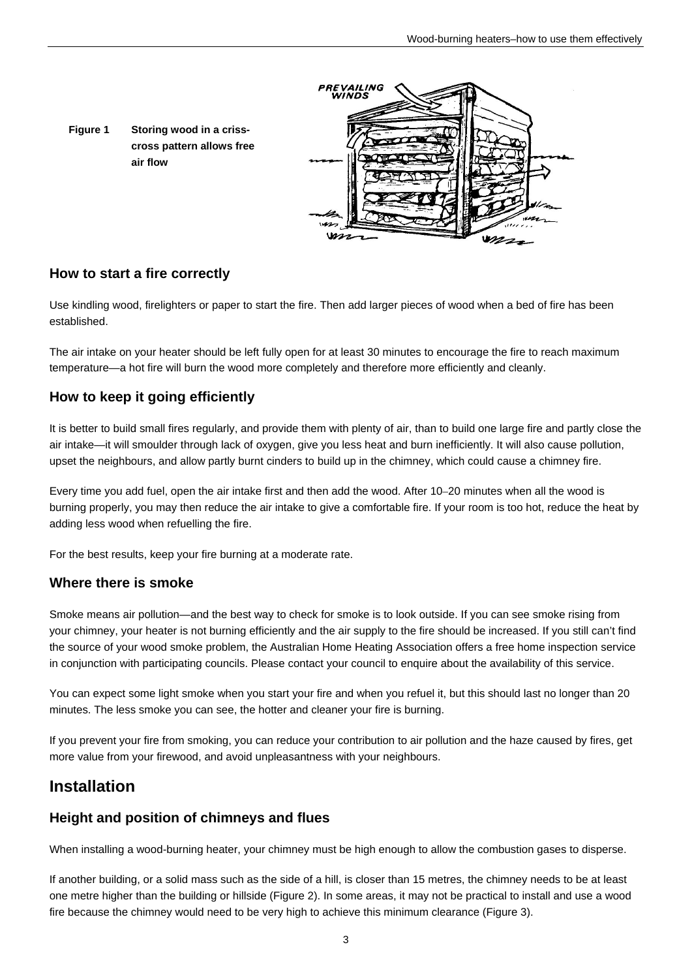

#### **How to start a fire correctly**

Use kindling wood, firelighters or paper to start the fire. Then add larger pieces of wood when a bed of fire has been established.

The air intake on your heater should be left fully open for at least 30 minutes to encourage the fire to reach maximum temperature—a hot fire will burn the wood more completely and therefore more efficiently and cleanly.

#### **How to keep it going efficiently**

It is better to build small fires regularly, and provide them with plenty of air, than to build one large fire and partly close the air intake—it will smoulder through lack of oxygen, give you less heat and burn inefficiently. It will also cause pollution, upset the neighbours, and allow partly burnt cinders to build up in the chimney, which could cause a chimney fire.

Every time you add fuel, open the air intake first and then add the wood. After 10–20 minutes when all the wood is burning properly, you may then reduce the air intake to give a comfortable fire. If your room is too hot, reduce the heat by adding less wood when refuelling the fire.

For the best results, keep your fire burning at a moderate rate.

#### **Where there is smoke**

Smoke means air pollution—and the best way to check for smoke is to look outside. If you can see smoke rising from your chimney, your heater is not burning efficiently and the air supply to the fire should be increased. If you still can't find the source of your wood smoke problem, the Australian Home Heating Association offers a free home inspection service in conjunction with participating councils. Please contact your council to enquire about the availability of this service.

You can expect some light smoke when you start your fire and when you refuel it, but this should last no longer than 20 minutes. The less smoke you can see, the hotter and cleaner your fire is burning.

If you prevent your fire from smoking, you can reduce your contribution to air pollution and the haze caused by fires, get more value from your firewood, and avoid unpleasantness with your neighbours.

## **Installation**

#### **Height and position of chimneys and flues**

When installing a wood-burning heater, your chimney must be high enough to allow the combustion gases to disperse.

If another building, or a solid mass such as the side of a hill, is closer than 15 metres, the chimney needs to be at least one metre higher than the building or hillside (Figure 2). In some areas, it may not be practical to install and use a wood fire because the chimney would need to be very high to achieve this minimum clearance (Figure 3).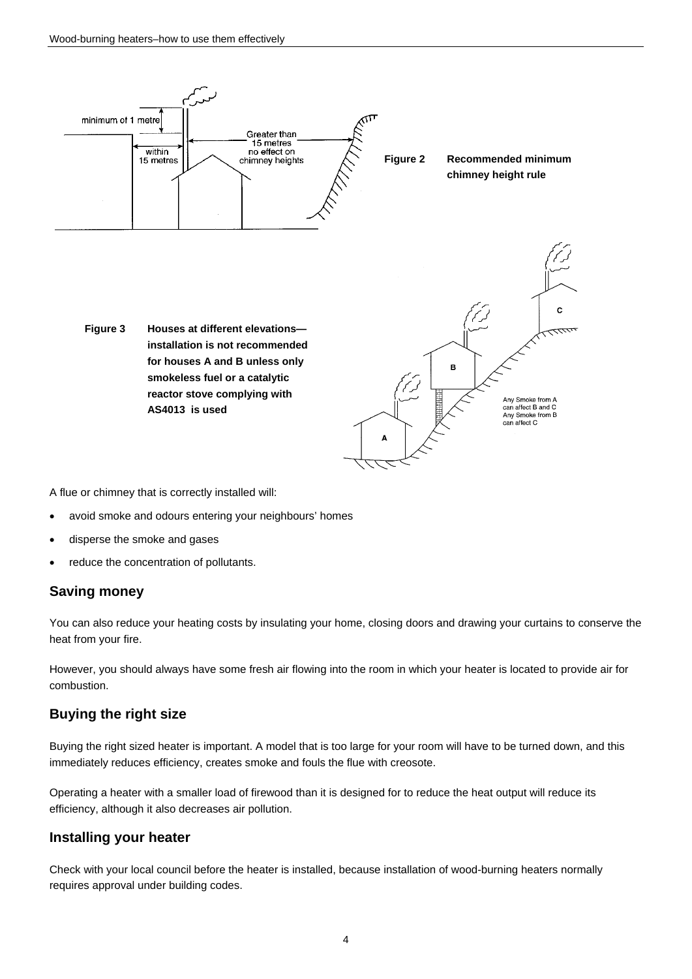

A flue or chimney that is correctly installed will:

- avoid smoke and odours entering your neighbours' homes
- disperse the smoke and gases
- reduce the concentration of pollutants.

#### **Saving money**

You can also reduce your heating costs by insulating your home, closing doors and drawing your curtains to conserve the heat from your fire.

However, you should always have some fresh air flowing into the room in which your heater is located to provide air for combustion.

#### **Buying the right size**

Buying the right sized heater is important. A model that is too large for your room will have to be turned down, and this immediately reduces efficiency, creates smoke and fouls the flue with creosote.

Operating a heater with a smaller load of firewood than it is designed for to reduce the heat output will reduce its efficiency, although it also decreases air pollution.

#### **Installing your heater**

Check with your local council before the heater is installed, because installation of wood-burning heaters normally requires approval under building codes.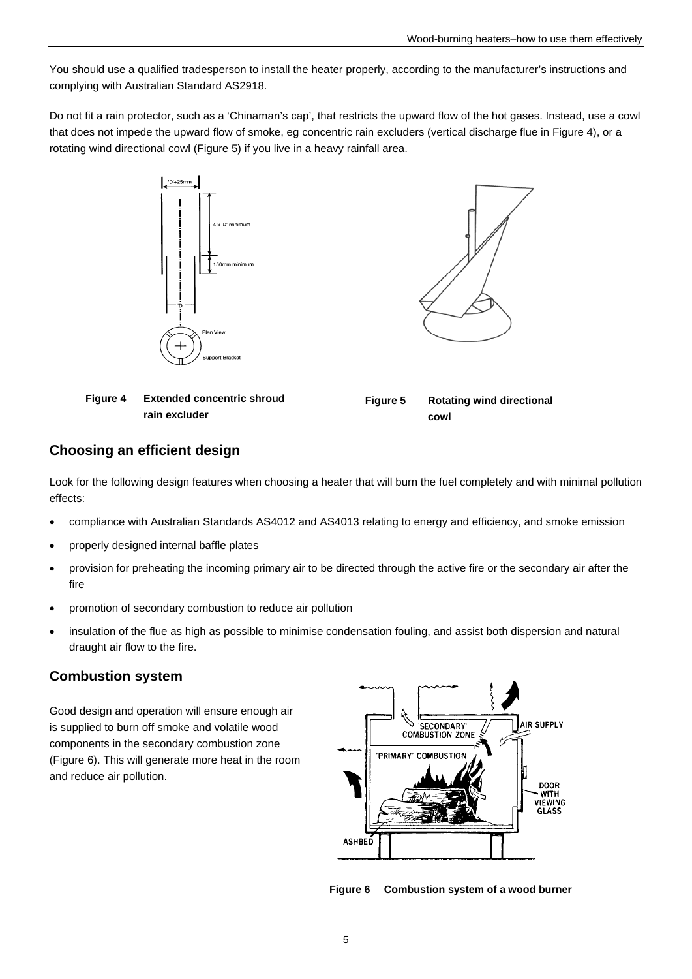You should use a qualified tradesperson to install the heater properly, according to the manufacturer's instructions and complying with Australian Standard AS2918.

Do not fit a rain protector, such as a 'Chinaman's cap', that restricts the upward flow of the hot gases. Instead, use a cowl that does not impede the upward flow of smoke, eg concentric rain excluders (vertical discharge flue in Figure 4), or a rotating wind directional cowl (Figure 5) if you live in a heavy rainfall area.





| Figure 4 Extended concentric shroud | <b>Figure 5</b> | <b>Rotating wind directional</b> |
|-------------------------------------|-----------------|----------------------------------|
| rain excluder                       |                 | cowl                             |

#### **Choosing an efficient design**

Look for the following design features when choosing a heater that will burn the fuel completely and with minimal pollution effects:

- compliance with Australian Standards AS4012 and AS4013 relating to energy and efficiency, and smoke emission
- properly designed internal baffle plates
- provision for preheating the incoming primary air to be directed through the active fire or the secondary air after the fire
- promotion of secondary combustion to reduce air pollution
- insulation of the flue as high as possible to minimise condensation fouling, and assist both dispersion and natural draught air flow to the fire.

#### **Combustion system**

Good design and operation will ensure enough air is supplied to burn off smoke and volatile wood components in the secondary combustion zone (Figure 6). This will generate more heat in the room and reduce air pollution.



**Figure 6 Combustion system of a wood burner**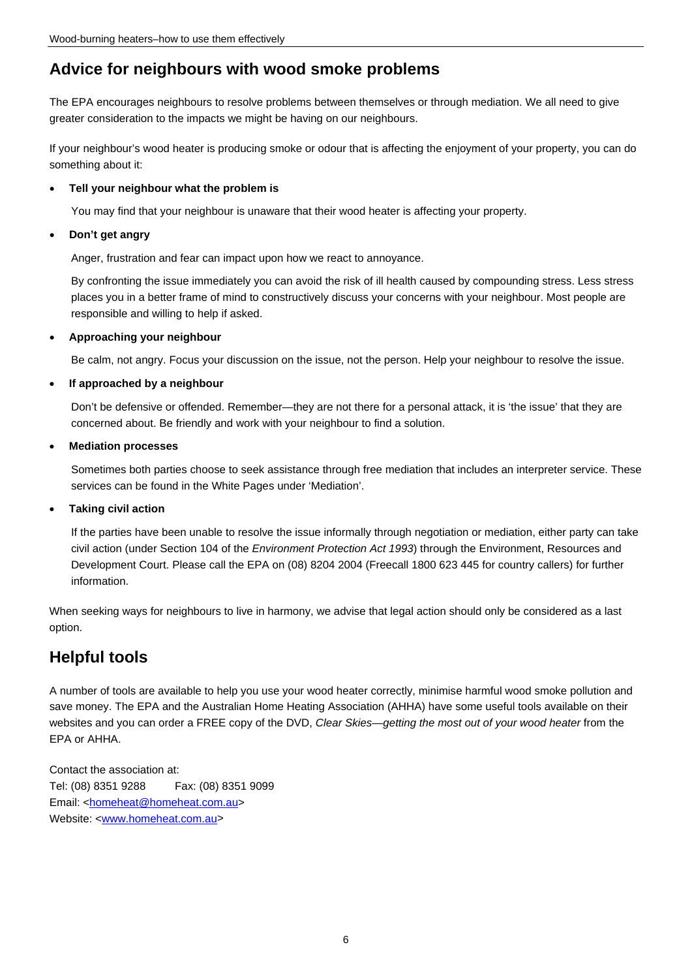## **Advice for neighbours with wood smoke problems**

The EPA encourages neighbours to resolve problems between themselves or through mediation. We all need to give greater consideration to the impacts we might be having on our neighbours.

If your neighbour's wood heater is producing smoke or odour that is affecting the enjoyment of your property, you can do something about it:

#### **Tell your neighbour what the problem is**

You may find that your neighbour is unaware that their wood heater is affecting your property.

#### **Don't get angry**

Anger, frustration and fear can impact upon how we react to annoyance.

By confronting the issue immediately you can avoid the risk of ill health caused by compounding stress. Less stress places you in a better frame of mind to constructively discuss your concerns with your neighbour. Most people are responsible and willing to help if asked.

#### **Approaching your neighbour**

Be calm, not angry. Focus your discussion on the issue, not the person. Help your neighbour to resolve the issue.

#### **If approached by a neighbour**

Don't be defensive or offended. Remember—they are not there for a personal attack, it is 'the issue' that they are concerned about. Be friendly and work with your neighbour to find a solution.

#### **Mediation processes**

Sometimes both parties choose to seek assistance through free mediation that includes an interpreter service. These services can be found in the White Pages under 'Mediation'.

#### **Taking civil action**

If the parties have been unable to resolve the issue informally through negotiation or mediation, either party can take civil action (under Section 104 of the *Environment Protection Act 1993*) through the Environment, Resources and Development Court. Please call the EPA on (08) 8204 2004 (Freecall 1800 623 445 for country callers) for further information.

When seeking ways for neighbours to live in harmony, we advise that legal action should only be considered as a last option.

## **Helpful tools**

A number of tools are available to help you use your wood heater correctly, minimise harmful wood smoke pollution and save money. The EPA and the Australian Home Heating Association (AHHA) have some useful tools available on their websites and you can order a FREE copy of the DVD, *Clear Skies—getting the most out of your wood heater* from the EPA or AHHA.

Contact the association at: Tel: (08) 8351 9288 Fax: (08) 8351 9099 Email: [<homeheat@homeheat.com.au](mailto:%3chomeheat@homeheat.com.au%3e)> Website: <[www.homeheat.com.au>](http://www.homeheat.com.au/)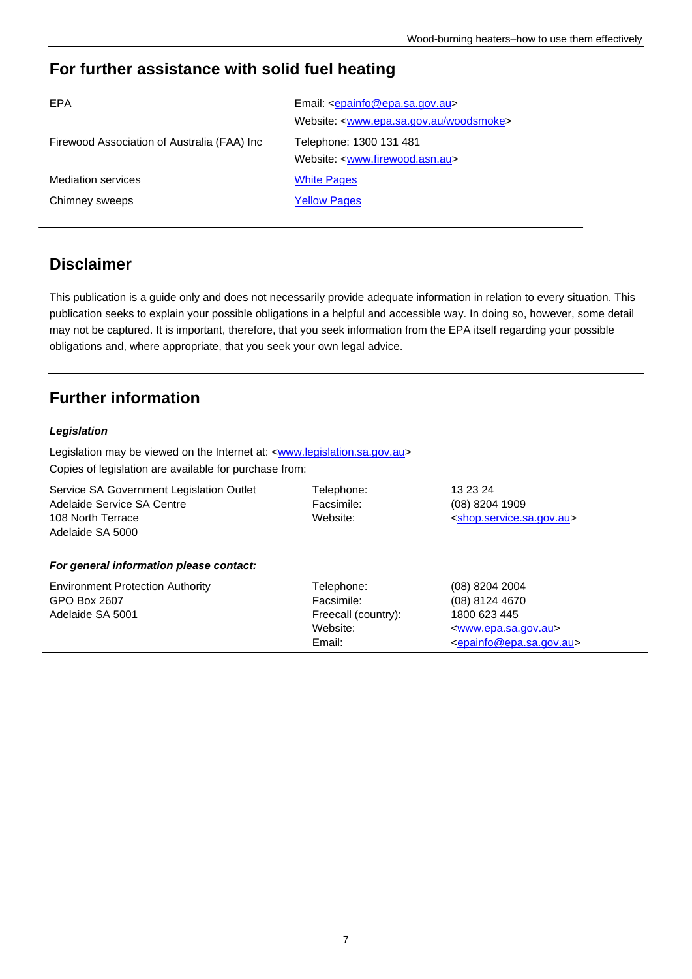## **For further assistance with solid fuel heating**

| EPA                                         | Email: <epainfo@epa.sa.gov.au></epainfo@epa.sa.gov.au>        |
|---------------------------------------------|---------------------------------------------------------------|
|                                             | Website: <www.epa.sa.gov.au woodsmoke=""></www.epa.sa.gov.au> |
| Firewood Association of Australia (FAA) Inc | Telephone: 1300 131 481                                       |
|                                             | Website: <www.firewood.asn.au></www.firewood.asn.au>          |
| <b>Mediation services</b>                   | <b>White Pages</b>                                            |
| Chimney sweeps                              | <b>Yellow Pages</b>                                           |
|                                             |                                                               |

## **Disclaimer**

This publication is a guide only and does not necessarily provide adequate information in relation to every situation. This publication seeks to explain your possible obligations in a helpful and accessible way. In doing so, however, some detail may not be captured. It is important, therefore, that you seek information from the EPA itself regarding your possible obligations and, where appropriate, that you seek your own legal advice.

## **Further information**

#### *Legislation*

Legislation may be viewed on the Internet at: [<www.legislation.sa.gov.au>](http://www.legislation.sa.gov.au/) Copies of legislation are available for purchase from:

| Service SA Government Legislation Outlet<br>Adelaide Service SA Centre<br>108 North Terrace<br>Adelaide SA 5000 | Telephone:<br>Facsimile:<br>Website:                                  | 13 23 24<br>(08) 8204 1909<br><shop.service.sa.gov.au></shop.service.sa.gov.au>                                                                 |
|-----------------------------------------------------------------------------------------------------------------|-----------------------------------------------------------------------|-------------------------------------------------------------------------------------------------------------------------------------------------|
| For general information please contact:                                                                         |                                                                       |                                                                                                                                                 |
| <b>Environment Protection Authority</b><br>GPO Box 2607<br>Adelaide SA 5001                                     | Telephone:<br>Facsimile:<br>Freecall (country):<br>Website:<br>Email: | (08) 8204 2004<br>(08) 8124 4670<br>1800 623 445<br><www.epa.sa.gov.au><br/><epainfo@epa.sa.gov.au></epainfo@epa.sa.gov.au></www.epa.sa.gov.au> |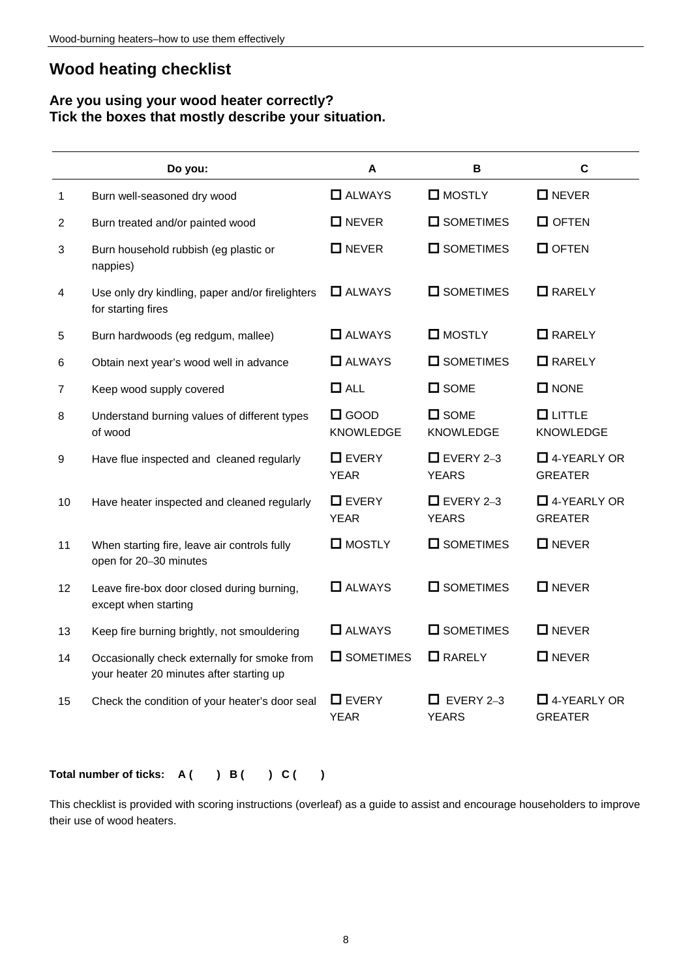## **Wood heating checklist**

#### **Are you using your wood heater correctly? Tick the boxes that mostly describe your situation.**

|                | Do you:                                                                                  | A                                  | B                                  | C                                    |
|----------------|------------------------------------------------------------------------------------------|------------------------------------|------------------------------------|--------------------------------------|
| 1              | Burn well-seasoned dry wood                                                              | $\Box$ ALWAYS                      | $\square$ MOSTLY                   | $\Box$ NEVER                         |
| 2              | Burn treated and/or painted wood                                                         | $\Box$ NEVER                       | <b>O</b> SOMETIMES                 | $\Box$ OFTEN                         |
| 3              | Burn household rubbish (eg plastic or<br>nappies)                                        | $\Box$ NEVER                       | <b>O</b> SOMETIMES                 | $\Box$ OFTEN                         |
| 4              | Use only dry kindling, paper and/or firelighters<br>for starting fires                   | $\Box$ ALWAYS                      | $\square$ SOMETIMES                | $\Box$ RARELY                        |
| 5              | Burn hardwoods (eg redgum, mallee)                                                       | <b>O</b> ALWAYS                    | $\square$ MOSTLY                   | $\Box$ RARELY                        |
| 6              | Obtain next year's wood well in advance                                                  | $\Box$ ALWAYS                      | <b>O</b> SOMETIMES                 | $\Box$ RARELY                        |
| $\overline{7}$ | Keep wood supply covered                                                                 | $\Box$ ALL                         | $\square$ SOME                     | $\square$ NONE                       |
| 8              | Understand burning values of different types<br>of wood                                  | $\square$ GOOD<br><b>KNOWLEDGE</b> | $\square$ SOME<br><b>KNOWLEDGE</b> | <b>OLITTLE</b><br><b>KNOWLEDGE</b>   |
| 9              | Have flue inspected and cleaned regularly                                                | $\Box$ EVERY<br><b>YEAR</b>        | $\Box$ EVERY 2-3<br><b>YEARS</b>   | $\Box$ 4-YEARLY OR<br><b>GREATER</b> |
| 10             | Have heater inspected and cleaned regularly                                              | $\Box$ EVERY<br><b>YEAR</b>        | $\Box$ EVERY 2-3<br><b>YEARS</b>   | $\Box$ 4-YEARLY OR<br><b>GREATER</b> |
| 11             | When starting fire, leave air controls fully<br>open for 20-30 minutes                   | <b>O</b> MOSTLY                    | <b>O</b> SOMETIMES                 | $\Box$ NEVER                         |
| 12             | Leave fire-box door closed during burning,<br>except when starting                       | $\Box$ ALWAYS                      | $\square$ SOMETIMES                | $\Box$ NEVER                         |
| 13             | Keep fire burning brightly, not smouldering                                              | <b>O</b> ALWAYS                    | $\square$ SOMETIMES                | $\Box$ NEVER                         |
| 14             | Occasionally check externally for smoke from<br>your heater 20 minutes after starting up | $\square$ SOMETIMES                | $\Box$ RARELY                      | $\Box$ NEVER                         |
| 15             | Check the condition of your heater's door seal                                           | $\Box$ EVERY<br><b>YEAR</b>        | $\Box$ EVERY 2-3<br><b>YEARS</b>   | $\Box$ 4-YEARLY OR<br><b>GREATER</b> |

#### Total number of ticks: A ( ) B ( ) C ( )

This checklist is provided with scoring instructions (overleaf) as a guide to assist and encourage householders to improve their use of wood heaters.